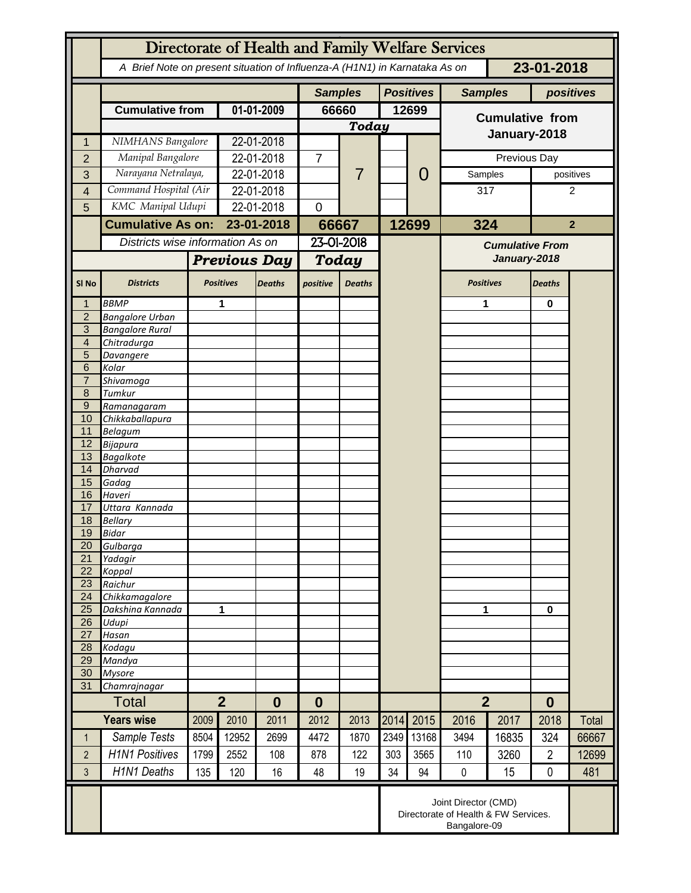|                     | Directorate of Health and Family Welfare Services                                        |                          |                            |               |                  |                |       |                  |                                        |                |                  |              |
|---------------------|------------------------------------------------------------------------------------------|--------------------------|----------------------------|---------------|------------------|----------------|-------|------------------|----------------------------------------|----------------|------------------|--------------|
|                     | A Brief Note on present situation of Influenza-A (H1N1) in Karnataka As on<br>23-01-2018 |                          |                            |               |                  |                |       |                  |                                        |                |                  |              |
|                     |                                                                                          |                          |                            |               | <b>Samples</b>   |                |       | <b>Positives</b> | <b>Samples</b>                         |                | positives        |              |
|                     | <b>Cumulative from</b>                                                                   |                          | 01-01-2009                 |               | 66660            |                | 12699 |                  | <b>Cumulative from</b>                 |                |                  |              |
|                     |                                                                                          |                          |                            |               | <b>Today</b>     |                |       |                  | January-2018                           |                |                  |              |
| 1                   | NIMHANS Bangalore                                                                        |                          |                            | 22-01-2018    |                  |                |       |                  |                                        |                |                  |              |
| $\overline{2}$      | Manipal Bangalore                                                                        |                          |                            | 22-01-2018    |                  | $\overline{7}$ |       |                  | Previous Day                           |                |                  |              |
| 3                   | Narayana Netralaya,                                                                      |                          | 22-01-2018                 |               |                  |                |       | 0                | Samples                                |                | positives        |              |
| 4                   | Command Hospital (Air                                                                    |                          | 22-01-2018                 |               |                  |                |       |                  | 317                                    |                | 2                |              |
| 5                   | KMC Manipal Udupi                                                                        |                          | 22-01-2018                 |               | $\overline{0}$   |                |       |                  |                                        |                |                  |              |
|                     |                                                                                          | <b>Cumulative As on:</b> |                            | 23-01-2018    |                  | 66667          |       | 12699            | 324                                    | $\overline{2}$ |                  |              |
|                     | Districts wise information As on                                                         |                          |                            |               | 23-01-2018       |                |       |                  |                                        |                |                  |              |
|                     |                                                                                          |                          | <b>Previous Day</b>        |               | Today            |                |       |                  | <b>Cumulative From</b><br>January-2018 |                |                  |              |
|                     |                                                                                          |                          |                            |               |                  |                |       |                  |                                        |                |                  |              |
| SI <sub>No</sub>    | <b>Districts</b>                                                                         |                          | <b>Positives</b>           | <b>Deaths</b> | positive         | <b>Deaths</b>  |       |                  | <b>Positives</b>                       |                | <b>Deaths</b>    |              |
|                     | <b>BBMP</b>                                                                              |                          | 1                          |               |                  |                |       |                  | 1                                      |                | $\bf{0}$         |              |
| $\overline{2}$      | <b>Bangalore Urban</b>                                                                   |                          |                            |               |                  |                |       |                  |                                        |                |                  |              |
| 3<br>$\overline{4}$ | <b>Bangalore Rural</b><br>Chitradurga                                                    |                          |                            |               |                  |                |       |                  |                                        |                |                  |              |
| 5                   | Davangere                                                                                |                          |                            |               |                  |                |       |                  |                                        |                |                  |              |
| 6                   | Kolar                                                                                    |                          |                            |               |                  |                |       |                  |                                        |                |                  |              |
| $\overline{7}$      | Shivamoga                                                                                |                          |                            |               |                  |                |       |                  |                                        |                |                  |              |
| 8                   | Tumkur                                                                                   |                          |                            |               |                  |                |       |                  |                                        |                |                  |              |
| $\boldsymbol{9}$    | Ramanagaram                                                                              |                          |                            |               |                  |                |       |                  |                                        |                |                  |              |
| 10<br>11            | Chikkaballapura<br><b>Belagum</b>                                                        |                          |                            |               |                  |                |       |                  |                                        |                |                  |              |
| 12                  | Bijapura                                                                                 |                          |                            |               |                  |                |       |                  |                                        |                |                  |              |
| 13                  | <b>Bagalkote</b>                                                                         |                          |                            |               |                  |                |       |                  |                                        |                |                  |              |
| 14                  | <b>Dharvad</b>                                                                           |                          |                            |               |                  |                |       |                  |                                        |                |                  |              |
| 15                  | Gadag                                                                                    |                          |                            |               |                  |                |       |                  |                                        |                |                  |              |
| 16<br>17            | Haveri<br>Uttara Kannada                                                                 |                          |                            |               |                  |                |       |                  |                                        |                |                  |              |
| 18                  | <b>Bellary</b>                                                                           |                          |                            |               |                  |                |       |                  |                                        |                |                  |              |
| 19                  | <b>Bidar</b>                                                                             |                          |                            |               |                  |                |       |                  |                                        |                |                  |              |
| 20                  | Gulbarga                                                                                 |                          |                            |               |                  |                |       |                  |                                        |                |                  |              |
| $\overline{21}$     | Yadagir                                                                                  |                          |                            |               |                  |                |       |                  |                                        |                |                  |              |
| 22<br>23            | Koppal<br>Raichur                                                                        |                          |                            |               |                  |                |       |                  |                                        |                |                  |              |
| 24                  | Chikkamagalore                                                                           |                          |                            |               |                  |                |       |                  |                                        |                |                  |              |
| 25                  | Dakshina Kannada                                                                         | 1                        |                            |               |                  |                |       |                  | 1                                      |                | 0                |              |
| 26                  | Udupi                                                                                    |                          |                            |               |                  |                |       |                  |                                        |                |                  |              |
| 27                  | Hasan                                                                                    |                          |                            |               |                  |                |       |                  |                                        |                |                  |              |
| 28                  | Kodagu                                                                                   |                          |                            |               |                  |                |       |                  |                                        |                |                  |              |
| 29<br>30            | Mandya<br><b>Mysore</b>                                                                  |                          |                            |               |                  |                |       |                  |                                        |                |                  |              |
| 31                  | Chamrajnagar                                                                             |                          |                            |               |                  |                |       |                  |                                        |                |                  |              |
|                     | <b>Total</b>                                                                             |                          | $\overline{2}$<br>$\bf{0}$ |               | $\boldsymbol{0}$ |                |       |                  | $\overline{2}$                         |                | $\boldsymbol{0}$ |              |
|                     | <b>Years wise</b>                                                                        | 2009                     | 2010                       | 2011          | 2012             | 2013           | 2014  | 2015             | 2016                                   | 2017           | 2018             | <b>Total</b> |
| $\mathbf 1$         | Sample Tests                                                                             | 8504                     | 12952                      | 2699          | 4472             | 1870           | 2349  | 13168            | 3494                                   | 16835          | 324              | 66667        |
| $\overline{2}$      | <b>H1N1 Positives</b>                                                                    | 1799                     | 2552                       | 108           | 878              | 122            | 303   | 3565             | 110                                    | 3260           | $\overline{2}$   | 12699        |
| 3                   | <b>H1N1 Deaths</b>                                                                       | 135                      | 120                        | 16            | 48               | 19             | 34    | 94               | 0                                      | 15             | 0                | 481          |
|                     | Joint Director (CMD)<br>Directorate of Health & FW Services.<br>Bangalore-09             |                          |                            |               |                  |                |       |                  |                                        |                |                  |              |